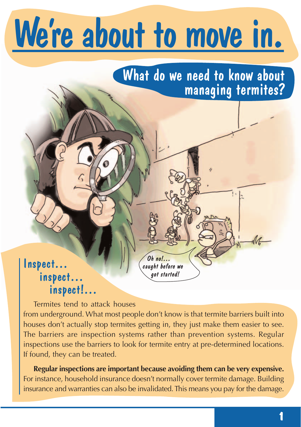# We're about to move in.

## What do we need to know about managing termites?

### Inspect… inspect… inspect!…

Termites tend to attack houses from underground. What most people don't know is that termite barriers built into houses don't actually stop termites getting in, they just make them easier to see. The barriers are inspection systems rather than prevention systems. Regular inspections use the barriers to look for termite entry at pre-determined locations. If found, they can be treated.

Oh no!… caught before we got started!

**Regular inspections are important because avoiding them can be very expensive.** For instance, household insurance doesn't normally cover termite damage. Building insurance and warranties can also be invalidated. This means you pay for the damage.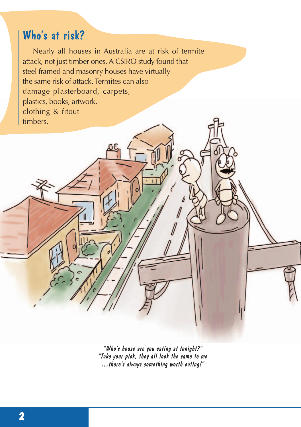## Who's at risk?

Nearly all houses in Australia are at risk of termite attack, not just timber ones. A CSIRO study found that steel framed and masonry houses have virtually the same risk of attack. Termites can also damage plasterboard, carpets, plastics, books, artwork, clothing & fitout timbers.

> "Who's house are you eating at tonight?" "Take your pick, they all look the same to me …there's always something worth eating!"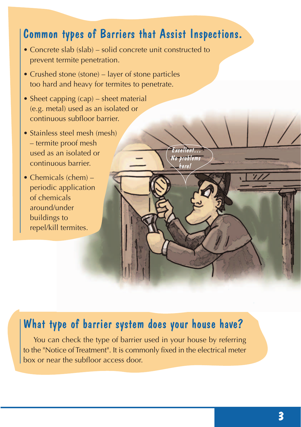## Common types of Barriers that Assist Inspections.

- Concrete slab (slab) solid concrete unit constructed to prevent termite penetration.
- Crushed stone (stone) layer of stone particles too hard and heavy for termites to penetrate.
- Sheet capping (cap) sheet material (e.g. metal) used as an isolated or continuous subfloor barrier.
- Stainless steel mesh (mesh) – termite proof mesh used as an isolated or continuous barrier.
- Chemicals (chem) periodic application of chemicals around/under buildings to repel/kill termites.

# Excellent… No problems here!

## What type of barrier system does your house have?

You can check the type of barrier used in your house by referring to the "Notice of Treatment". It is commonly fixed in the electrical meter box or near the subfloor access door.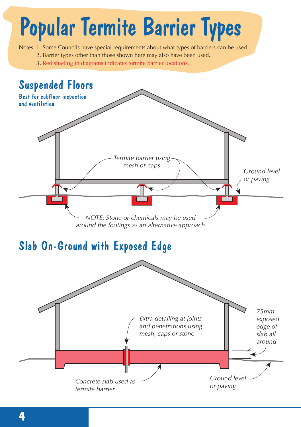

**4**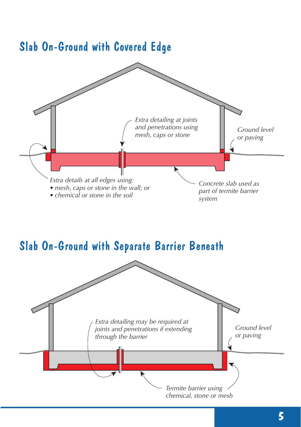

## Slab On-Ground with Separate Barrier Beneath

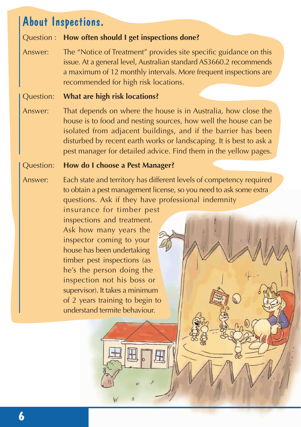### About Inspections.

#### Question : **How often should I get inspections done?**

Answer: The "Notice of Treatment" provides site specific guidance on this issue. At a general level, Australian standard AS3660.2 recommends a maximum of 12 monthly intervals. More frequent inspections are recommended for high risk locations.

#### Question: **What are high risk locations?**

Answer: That depends on where the house is in Australia, how close the house is to food and nesting sources, how well the house can be isolated from adjacent buildings, and if the barrier has been disturbed by recent earth works or landscaping. It is best to ask a pest manager for detailed advice. Find them in the yellow pages.

#### Question: **How do I choose a Pest Manager?**

Answer: Each state and territory has different levels of competency required to obtain a pest management license, so you need to ask some extra questions. Ask if they have professional indemnity

> insurance for timber pest inspections and treatment. Ask how many years the inspector coming to your house has been undertaking timber pest inspections (as he's the person doing the inspection not his boss or supervisor). It takes a minimum of 2 years training to begin to understand termite behaviour.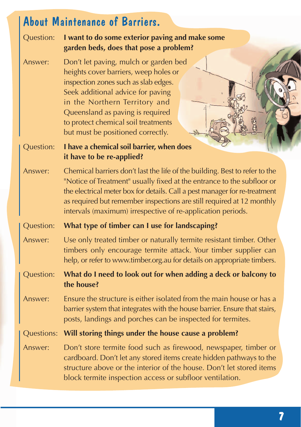## About Maintenance of Barriers.

Question: **I want to do some exterior paving and make some garden beds, does that pose a problem?**

Answer: Don't let paving, mulch or garden bed heights cover barriers, weep holes or inspection zones such as slab edges. Seek additional advice for paving in the Northern Territory and Queensland as paving is required to protect chemical soil treatments but must be positioned correctly.

Question: **I have a chemical soil barrier, when does it have to be re-applied?**

Answer: Chemical barriers don't last the life of the building. Best to refer to the "Notice of Treatment" usually fixed at the entrance to the subfloor or the electrical meter box for details. Call a pest manager for re-treatment as required but remember inspections are still required at 12 monthly intervals (maximum) irrespective of re-application periods.

#### Question: **What type of timber can I use for landscaping?**

- Answer: Use only treated timber or naturally termite resistant timber. Other timbers only encourage termite attack. Your timber supplier can help, or refer to www.timber.org.au for details on appropriate timbers.
- Question: **What do I need to look out for when adding a deck or balcony to the house?**
- Answer: Ensure the structure is either isolated from the main house or has a barrier system that integrates with the house barrier. Ensure that stairs, posts, landings and porches can be inspected for termites.

Questions: **Will storing things under the house cause a problem?**

Answer: Don't store termite food such as firewood, newspaper, timber or cardboard. Don't let any stored items create hidden pathways to the structure above or the interior of the house. Don't let stored items block termite inspection access or subfloor ventilation.